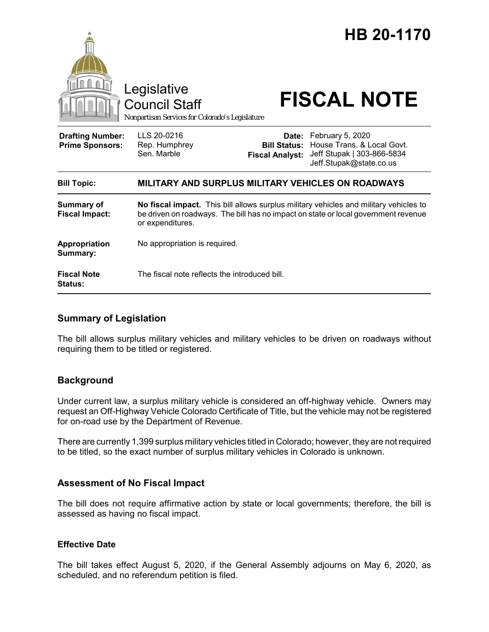

### **Summary of Legislation**

The bill allows surplus military vehicles and military vehicles to be driven on roadways without requiring them to be titled or registered.

### **Background**

Under current law, a surplus military vehicle is considered an off-highway vehicle. Owners may request an Off-Highway Vehicle Colorado Certificate of Title, but the vehicle may not be registered for on-road use by the Department of Revenue.

There are currently 1,399 surplus military vehicles titled in Colorado; however, they are not required to be titled, so the exact number of surplus military vehicles in Colorado is unknown.

#### **Assessment of No Fiscal Impact**

The bill does not require affirmative action by state or local governments; therefore, the bill is assessed as having no fiscal impact.

## **Effective Date**

The bill takes effect August 5, 2020, if the General Assembly adjourns on May 6, 2020, as scheduled, and no referendum petition is filed.